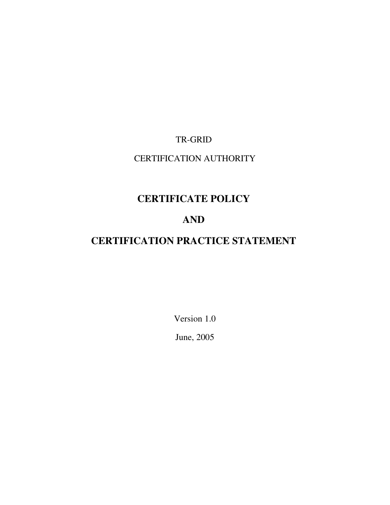# TR-GRID

# CERTIFICATION AUTHORITY

# CERTIFICATE POLICY

# AND

# CERTIFICATION PRACTICE STATEMENT

Version 1.0

June, 2005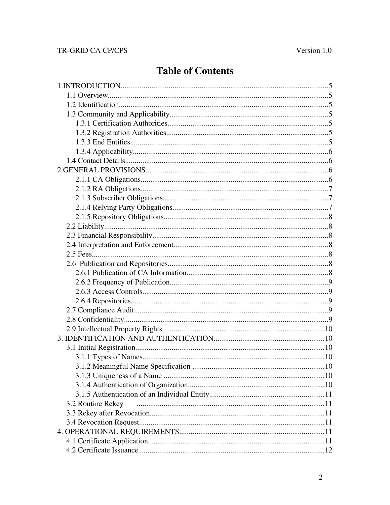# TR-GRID CA CP/CPS

# **Table of Contents**

| 3.2 Routine Rekey |  |
|-------------------|--|
|                   |  |
|                   |  |
|                   |  |
|                   |  |
|                   |  |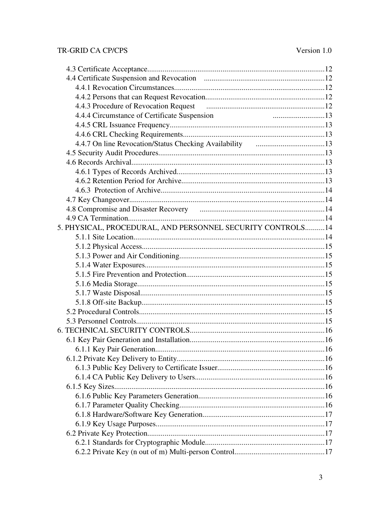# TR-GRID CA CP/CPS

| 4.4.4 Circumstance of Certificate Suspension               |  |
|------------------------------------------------------------|--|
|                                                            |  |
|                                                            |  |
|                                                            |  |
|                                                            |  |
|                                                            |  |
|                                                            |  |
|                                                            |  |
|                                                            |  |
|                                                            |  |
| 4.8 Compromise and Disaster Recovery manufactured and 14   |  |
|                                                            |  |
| 5. PHYSICAL, PROCEDURAL, AND PERSONNEL SECURITY CONTROLS14 |  |
|                                                            |  |
|                                                            |  |
|                                                            |  |
|                                                            |  |
|                                                            |  |
|                                                            |  |
|                                                            |  |
|                                                            |  |
|                                                            |  |
|                                                            |  |
|                                                            |  |
|                                                            |  |
|                                                            |  |
|                                                            |  |
|                                                            |  |
|                                                            |  |
|                                                            |  |
|                                                            |  |
|                                                            |  |
|                                                            |  |
|                                                            |  |
|                                                            |  |
|                                                            |  |
|                                                            |  |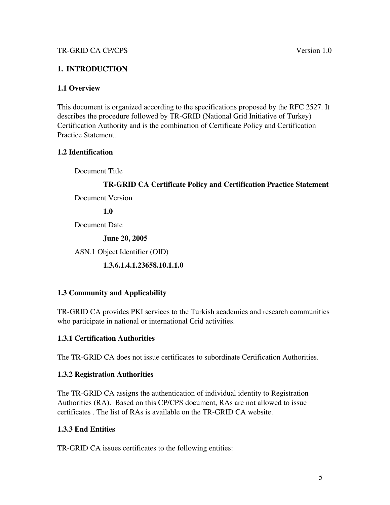# 1. INTRODUCTION

# 1.1 Overview

This document is organized according to the specifications proposed by the RFC 2527. It describes the procedure followed by TR-GRID (National Grid Initiative of Turkey) Certification Authority and is the combination of Certificate Policy and Certification Practice Statement.

# 1.2 Identification

Document Title

# TR-GRID CA Certificate Policy and Certification Practice Statement

Document Version

1.0

Document Date

June 20, 2005

ASN.1 Object Identifier (OID)

1.3.6.1.4.1.23658.10.1.1.0

# 1.3 Community and Applicability

TR-GRID CA provides PKI services to the Turkish academics and research communities who participate in national or international Grid activities.

# 1.3.1 Certification Authorities

The TR-GRID CA does not issue certificates to subordinate Certification Authorities.

# 1.3.2 Registration Authorities

The TR-GRID CA assigns the authentication of individual identity to Registration Authorities (RA). Based on this CP/CPS document, RAs are not allowed to issue certificates . The list of RAs is available on the TR-GRID CA website.

# 1.3.3 End Entities

TR-GRID CA issues certificates to the following entities: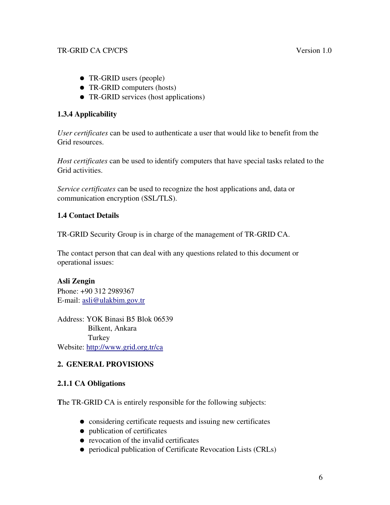- TR-GRID users (people)
- TR-GRID computers (hosts)
- TR-GRID services (host applications)

# 1.3.4 Applicability

*User certificates* can be used to authenticate a user that would like to benefit from the Grid resources.

*Host certificates* can be used to identify computers that have special tasks related to the Grid activities.

*Service certificates* can be used to recognize the host applications and, data or communication encryption (SSL/TLS).

# 1.4 Contact Details

TR-GRID Security Group is in charge of the management of TR-GRID CA.

The contact person that can deal with any questions related to this document or operational issues:

# Asli Zengin

Phone: +90 312 2989367 E-mail: asli@ulakbim.gov.tr

Address: YOK Binasi B5 Blok 06539 Bilkent, Ankara Turkey Website: http://www.grid.org.tr/ca

# 2. GENERAL PROVISIONS

# 2.1.1 CA Obligations

The TR-GRID CA is entirely responsible for the following subjects:

- considering certificate requests and issuing new certificates
- publication of certificates
- revocation of the invalid certificates
- periodical publication of Certificate Revocation Lists (CRLs)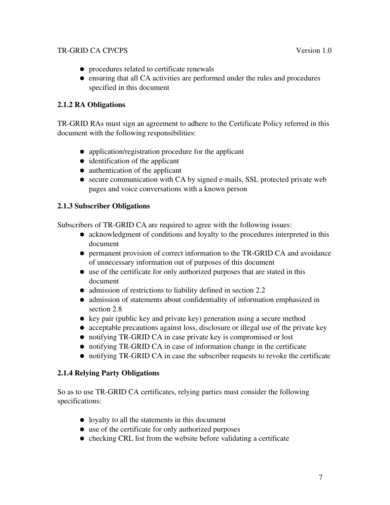- procedures related to certificate renewals
- ensuring that all CA activities are performed under the rules and procedures specified in this document

# 2.1.2 RA Obligations

TR-GRID RAs must sign an agreement to adhere to the Certificate Policy referred in this document with the following responsibilities:

- application/registration procedure for the applicant
- identification of the applicant
- authentication of the applicant
- secure communication with CA by signed e-mails, SSL protected private web pages and voice conversations with a known person

# 2.1.3 Subscriber Obligations

Subscribers of TR-GRID CA are required to agree with the following issues:

- acknowledgment of conditions and loyalty to the procedures interpreted in this document
- permanent provision of correct information to the TR-GRID CA and avoidance of unnecessary information out of purposes of this document
- use of the certificate for only authorized purposes that are stated in this document
- admission of restrictions to liability defined in section 2.2
- admission of statements about confidentiality of information emphasized in section 2.8
- key pair (public key and private key) generation using a secure method
- acceptable precautions against loss, disclosure or illegal use of the private key
- notifying TR-GRID CA in case private key is compromised or lost
- notifying TR-GRID CA in case of information change in the certificate
- notifying TR-GRID CA in case the subscriber requests to revoke the certificate

# 2.1.4 Relying Party Obligations

So as to use TR-GRID CA certificates, relying parties must consider the following specifications:

- loyalty to all the statements in this document
- use of the certificate for only authorized purposes
- $\bullet$  checking CRL list from the website before validating a certificate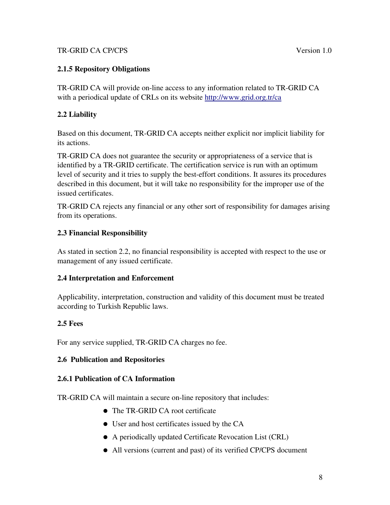# 2.1.5 Repository Obligations

TR-GRID CA will provide on-line access to any information related to TR-GRID CA with a periodical update of CRLs on its website http://www.grid.org.tr/ca

# 2.2 Liability

Based on this document, TR-GRID CA accepts neither explicit nor implicit liability for its actions.

TR-GRID CA does not guarantee the security or appropriateness of a service that is identified by a TR-GRID certificate. The certification service is run with an optimum level of security and it tries to supply the best-effort conditions. It assures its procedures described in this document, but it will take no responsibility for the improper use of the issued certificates.

TR-GRID CA rejects any financial or any other sort of responsibility for damages arising from its operations.

# 2.3 Financial Responsibility

As stated in section 2.2, no financial responsibility is accepted with respect to the use or management of any issued certificate.

# 2.4 Interpretation and Enforcement

Applicability, interpretation, construction and validity of this document must be treated according to Turkish Republic laws.

# 2.5 Fees

For any service supplied, TR-GRID CA charges no fee.

# 2.6 Publication and Repositories

# 2.6.1 Publication of CA Information

TR-GRID CA will maintain a secure on-line repository that includes:

- The TR-GRID CA root certificate
- User and host certificates issued by the CA
- A periodically updated Certificate Revocation List (CRL)
- All versions (current and past) of its verified CP/CPS document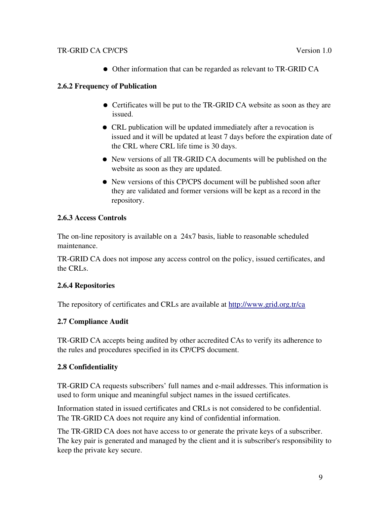Other information that can be regarded as relevant to TR-GRID CA

# 2.6.2 Frequency of Publication

- Certificates will be put to the TR-GRID CA website as soon as they are issued.
- CRL publication will be updated immediately after a revocation is issued and it will be updated at least 7 days before the expiration date of the CRL where CRL life time is 30 days.
- New versions of all TR-GRID CA documents will be published on the website as soon as they are updated.
- New versions of this CP/CPS document will be published soon after they are validated and former versions will be kept as a record in the repository.

# 2.6.3 Access Controls

The on-line repository is available on a 24x7 basis, liable to reasonable scheduled maintenance.

TR-GRID CA does not impose any access control on the policy, issued certificates, and the CRLs.

# 2.6.4 Repositories

The repository of certificates and CRLs are available at http://www.grid.org.tr/ca

# 2.7 Compliance Audit

TR-GRID CA accepts being audited by other accredited CAs to verify its adherence to the rules and procedures specified in its CP/CPS document.

# 2.8 Confidentiality

TR-GRID CA requests subscribers' full names and e-mail addresses. This information is used to form unique and meaningful subject names in the issued certificates.

Information stated in issued certificates and CRLs is not considered to be confidential. The TR-GRID CA does not require any kind of confidential information.

The TR-GRID CA does not have access to or generate the private keys of a subscriber. The key pair is generated and managed by the client and it is subscriber's responsibility to keep the private key secure.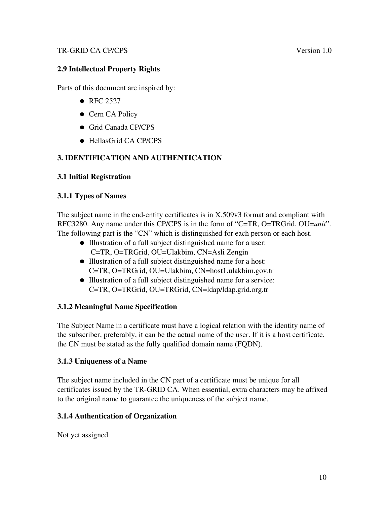# 2.9 Intellectual Property Rights

Parts of this document are inspired by:

- RFC 2527
- Cern CA Policy
- Grid Canada CP/CPS
- HellasGrid CA CP/CPS

# 3. IDENTIFICATION AND AUTHENTICATION

#### 3.1 Initial Registration

#### 3.1.1 Types of Names

The subject name in the end-entity certificates is in X.509v3 format and compliant with RFC3280. Any name under this CP/CPS is in the form of "C=TR, O=TRGrid, OU=*unit*". The following part is the "CN" which is distinguished for each person or each host.

- Illustration of a full subject distinguished name for a user: C=TR, O=TRGrid, OU=Ulakbim, CN=Asli Zengin
- Illustration of a full subject distinguished name for a host: C=TR, O=TRGrid, OU=Ulakbim, CN=host1.ulakbim.gov.tr
- Illustration of a full subject distinguished name for a service: C=TR, O=TRGrid, OU=TRGrid, CN=ldap/ldap.grid.org.tr

# 3.1.2 Meaningful Name Specification

The Subject Name in a certificate must have a logical relation with the identity name of the subscriber, preferably, it can be the actual name of the user. If it is a host certificate, the CN must be stated as the fully qualified domain name (FQDN).

# 3.1.3 Uniqueness of a Name

The subject name included in the CN part of a certificate must be unique for all certificates issued by the TR-GRID CA. When essential, extra characters may be affixed to the original name to guarantee the uniqueness of the subject name.

#### 3.1.4 Authentication of Organization

Not yet assigned.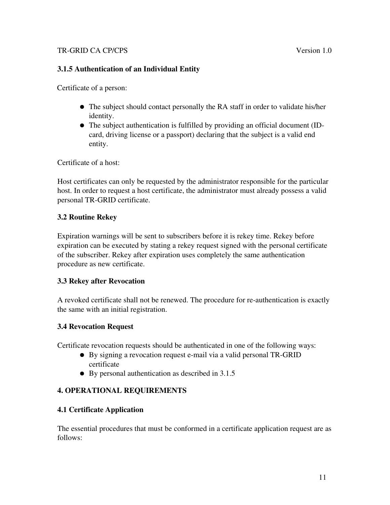# 3.1.5 Authentication of an Individual Entity

Certificate of a person:

- The subject should contact personally the RA staff in order to validate his/her identity.
- The subject authentication is fulfilled by providing an official document (IDcard, driving license or a passport) declaring that the subject is a valid end entity.

Certificate of a host:

Host certificates can only be requested by the administrator responsible for the particular host. In order to request a host certificate, the administrator must already possess a valid personal TR-GRID certificate.

# 3.2 Routine Rekey

Expiration warnings will be sent to subscribers before it is rekey time. Rekey before expiration can be executed by stating a rekey request signed with the personal certificate of the subscriber. Rekey after expiration uses completely the same authentication procedure as new certificate.

# 3.3 Rekey after Revocation

A revoked certificate shall not be renewed. The procedure for re-authentication is exactly the same with an initial registration.

# 3.4 Revocation Request

Certificate revocation requests should be authenticated in one of the following ways:

- By signing a revocation request e-mail via a valid personal TR-GRID certificate
- By personal authentication as described in 3.1.5

# 4. OPERATIONAL REQUIREMENTS

# 4.1 Certificate Application

The essential procedures that must be conformed in a certificate application request are as follows: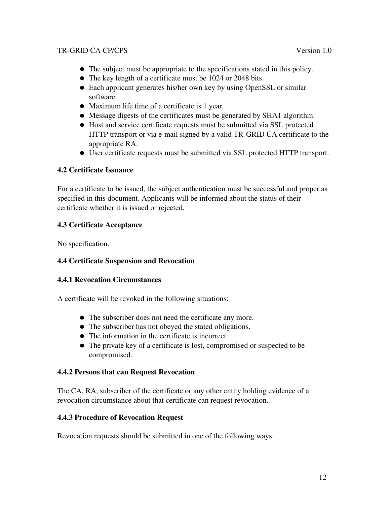- The subject must be appropriate to the specifications stated in this policy.
- The key length of a certificate must be 1024 or 2048 bits.
- Each applicant generates his/her own key by using OpenSSL or similar software.
- Maximum life time of a certificate is 1 year.
- Message digests of the certificates must be generated by SHA1 algorithm.
- Host and service certificate requests must be submitted via SSL protected HTTP transport or via e-mail signed by a valid TR-GRID CA certificate to the appropriate RA.
- User certificate requests must be submitted via SSL protected HTTP transport.

# 4.2 Certificate Issuance

For a certificate to be issued, the subject authentication must be successful and proper as specified in this document. Applicants will be informed about the status of their certificate whether it is issued or rejected.

# 4.3 Certificate Acceptance

No specification.

# 4.4 Certificate Suspension and Revocation

# 4.4.1 Revocation Circumstances

A certificate will be revoked in the following situations:

- The subscriber does not need the certificate any more.
- The subscriber has not obeyed the stated obligations.
- The information in the certificate is incorrect.
- The private key of a certificate is lost, compromised or suspected to be compromised.

# 4.4.2 Persons that can Request Revocation

The CA, RA, subscriber of the certificate or any other entity holding evidence of a revocation circumstance about that certificate can request revocation.

# 4.4.3 Procedure of Revocation Request

Revocation requests should be submitted in one of the following ways: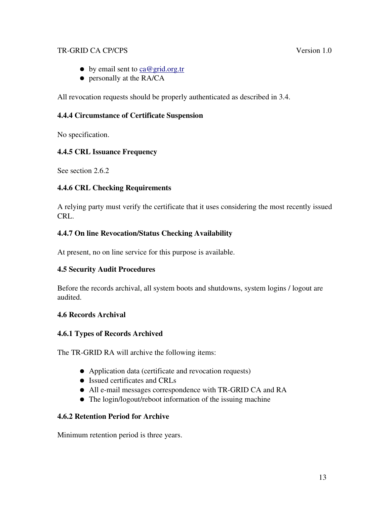- $\bullet$  by email sent to ca@grid.org.tr
- personally at the RA/CA

All revocation requests should be properly authenticated as described in 3.4.

# 4.4.4 Circumstance of Certificate Suspension

No specification.

# 4.4.5 CRL Issuance Frequency

See section 2.6.2

# 4.4.6 CRL Checking Requirements

A relying party must verify the certificate that it uses considering the most recently issued CRL.

# 4.4.7 On line Revocation/Status Checking Availability

At present, no on line service for this purpose is available.

# 4.5 Security Audit Procedures

Before the records archival, all system boots and shutdowns, system logins / logout are audited.

# 4.6 Records Archival

# 4.6.1 Types of Records Archived

The TR-GRID RA will archive the following items:

- Application data (certificate and revocation requests)
- Issued certificates and CRLs
- All e-mail messages correspondence with TR-GRID CA and RA
- The login/logout/reboot information of the issuing machine

# 4.6.2 Retention Period for Archive

Minimum retention period is three years.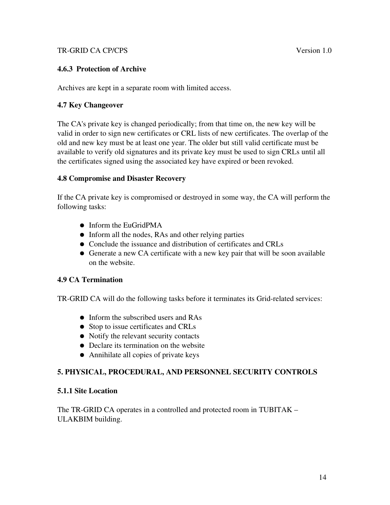### 4.6.3 Protection of Archive

Archives are kept in a separate room with limited access.

### 4.7 Key Changeover

The CA's private key is changed periodically; from that time on, the new key will be valid in order to sign new certificates or CRL lists of new certificates. The overlap of the old and new key must be at least one year. The older but still valid certificate must be available to verify old signatures and its private key must be used to sign CRLs until all the certificates signed using the associated key have expired or been revoked.

#### 4.8 Compromise and Disaster Recovery

If the CA private key is compromised or destroyed in some way, the CA will perform the following tasks:

- Inform the EuGridPMA
- Inform all the nodes, RAs and other relying parties
- Conclude the issuance and distribution of certificates and CRLs
- Generate a new CA certificate with a new key pair that will be soon available on the website.

# 4.9 CA Termination

TR-GRID CA will do the following tasks before it terminates its Grid-related services:

- Inform the subscribed users and RAs
- Stop to issue certificates and CRLs
- Notify the relevant security contacts
- Declare its termination on the website
- Annihilate all copies of private keys

# 5. PHYSICAL, PROCEDURAL, AND PERSONNEL SECURITY CONTROLS

#### 5.1.1 Site Location

The TR-GRID CA operates in a controlled and protected room in TUBITAK – ULAKBIM building.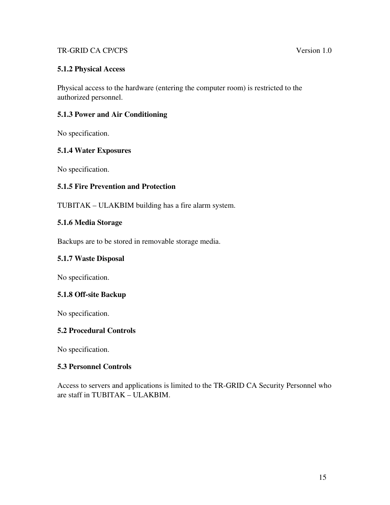# 5.1.2 Physical Access

Physical access to the hardware (entering the computer room) is restricted to the authorized personnel.

#### 5.1.3 Power and Air Conditioning

No specification.

#### 5.1.4 Water Exposures

No specification.

# 5.1.5 Fire Prevention and Protection

TUBITAK – ULAKBIM building has a fire alarm system.

#### 5.1.6 Media Storage

Backups are to be stored in removable storage media.

#### 5.1.7 Waste Disposal

No specification.

#### 5.1.8 Off-site Backup

No specification.

#### 5.2 Procedural Controls

No specification.

#### 5.3 Personnel Controls

Access to servers and applications is limited to the TR-GRID CA Security Personnel who are staff in TUBITAK – ULAKBIM.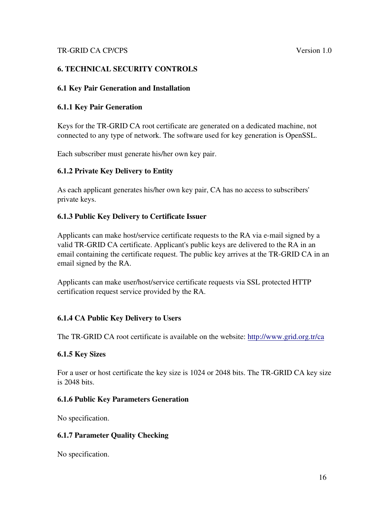# 6. TECHNICAL SECURITY CONTROLS

#### 6.1 Key Pair Generation and Installation

#### 6.1.1 Key Pair Generation

Keys for the TR-GRID CA root certificate are generated on a dedicated machine, not connected to any type of network. The software used for key generation is OpenSSL.

Each subscriber must generate his/her own key pair.

# 6.1.2 Private Key Delivery to Entity

As each applicant generates his/her own key pair, CA has no access to subscribers' private keys.

# 6.1.3 Public Key Delivery to Certificate Issuer

Applicants can make host/service certificate requests to the RA via e-mail signed by a valid TR-GRID CA certificate. Applicant's public keys are delivered to the RA in an email containing the certificate request. The public key arrives at the TR-GRID CA in an email signed by the RA.

Applicants can make user/host/service certificate requests via SSL protected HTTP certification request service provided by the RA.

# 6.1.4 CA Public Key Delivery to Users

The TR-GRID CA root certificate is available on the website: http://www.grid.org.tr/ca

#### 6.1.5 Key Sizes

For a user or host certificate the key size is 1024 or 2048 bits. The TR-GRID CA key size is 2048 bits.

# 6.1.6 Public Key Parameters Generation

No specification.

# 6.1.7 Parameter Quality Checking

No specification.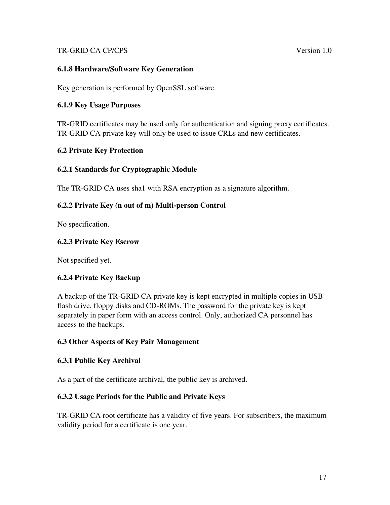### 6.1.8 Hardware/Software Key Generation

Key generation is performed by OpenSSL software.

#### 6.1.9 Key Usage Purposes

TR-GRID certificates may be used only for authentication and signing proxy certificates. TR-GRID CA private key will only be used to issue CRLs and new certificates.

#### 6.2 Private Key Protection

#### 6.2.1 Standards for Cryptographic Module

The TR-GRID CA uses sha1 with RSA encryption as a signature algorithm.

#### 6.2.2 Private Key (n out of m) Multi-person Control

No specification.

#### 6.2.3 Private Key Escrow

Not specified yet.

# 6.2.4 Private Key Backup

A backup of the TR-GRID CA private key is kept encrypted in multiple copies in USB flash drive, floppy disks and CD-ROMs. The password for the private key is kept separately in paper form with an access control. Only, authorized CA personnel has access to the backups.

#### 6.3 Other Aspects of Key Pair Management

#### 6.3.1 Public Key Archival

As a part of the certificate archival, the public key is archived.

#### 6.3.2 Usage Periods for the Public and Private Keys

TR-GRID CA root certificate has a validity of five years. For subscribers, the maximum validity period for a certificate is one year.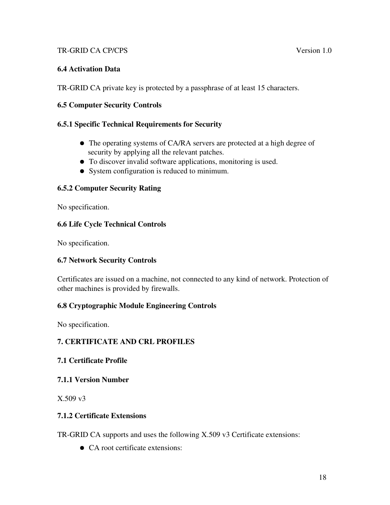# 6.4 Activation Data

TR-GRID CA private key is protected by a passphrase of at least 15 characters.

# 6.5 Computer Security Controls

# 6.5.1 Specific Technical Requirements for Security

- The operating systems of CA/RA servers are protected at a high degree of security by applying all the relevant patches.
- To discover invalid software applications, monitoring is used.
- System configuration is reduced to minimum.

# 6.5.2 Computer Security Rating

No specification.

# 6.6 Life Cycle Technical Controls

No specification.

# 6.7 Network Security Controls

Certificates are issued on a machine, not connected to any kind of network. Protection of other machines is provided by firewalls.

# 6.8 Cryptographic Module Engineering Controls

No specification.

# 7. CERTIFICATE AND CRL PROFILES

# 7.1 Certificate Profile

# 7.1.1 Version Number

X.509 v3

# 7.1.2 Certificate Extensions

TR-GRID CA supports and uses the following X.509 v3 Certificate extensions:

• CA root certificate extensions: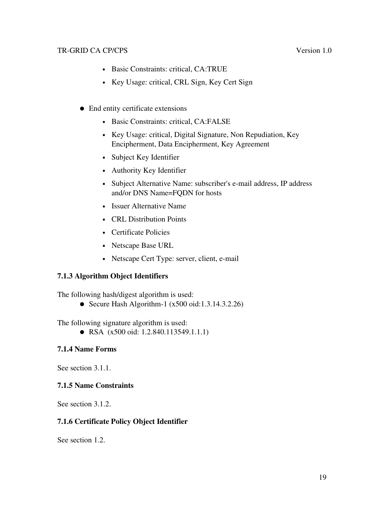- Basic Constraints: critical, CA:TRUE
- Key Usage: critical, CRL Sign, Key Cert Sign
- End entity certificate extensions
	- Basic Constraints: critical, CA:FALSE
	- Key Usage: critical, Digital Signature, Non Repudiation, Key Encipherment, Data Encipherment, Key Agreement
	- Subject Key Identifier
	- Authority Key Identifier
	- Subject Alternative Name: subscriber's e-mail address, IP address and/or DNS Name=FQDN for hosts
	- Issuer Alternative Name
	- CRL Distribution Points
	- Certificate Policies
	- Netscape Base URL
	- Netscape Cert Type: server, client, e-mail

# 7.1.3 Algorithm Object Identifiers

The following hash/digest algorithm is used:

• Secure Hash Algorithm-1  $(x500 \text{ oid}: 1.3.14.3.2.26)$ 

The following signature algorithm is used:

• RSA (x500 oid: 1.2.840.113549.1.1.1)

# 7.1.4 Name Forms

See section 3.1.1.

# 7.1.5 Name Constraints

See section 3.1.2.

# 7.1.6 Certificate Policy Object Identifier

See section 1.2.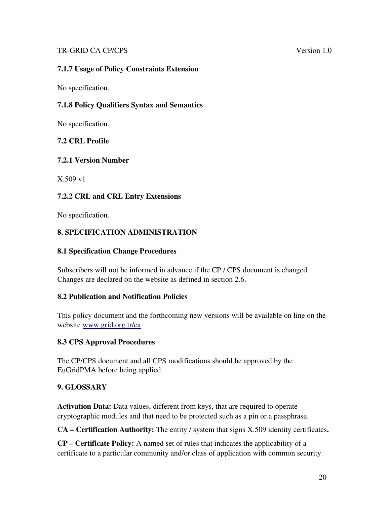# 7.1.7 Usage of Policy Constraints Extension

No specification.

# 7.1.8 Policy Qualifiers Syntax and Semantics

No specification.

# 7.2 CRL Profile

#### 7.2.1 Version Number

X.509 v1

# 7.2.2 CRL and CRL Entry Extensions

No specification.

# 8. SPECIFICATION ADMINISTRATION

#### 8.1 Specification Change Procedures

Subscribers will not be informed in advance if the CP / CPS document is changed. Changes are declared on the website as defined in section 2.6.

#### 8.2 Publication and Notification Policies

This policy document and the forthcoming new versions will be available on line on the website www.grid.org.tr/ca

# 8.3 CPS Approval Procedures

The CP/CPS document and all CPS modifications should be approved by the EuGridPMA before being applied.

# 9. GLOSSARY

Activation Data: Data values, different from keys, that are required to operate cryptographic modules and that need to be protected such as a pin or a passphrase.

CA – Certification Authority: The entity / system that signs X.509 identity certificates.

CP – Certificate Policy: A named set of rules that indicates the applicability of a certificate to a particular community and/or class of application with common security